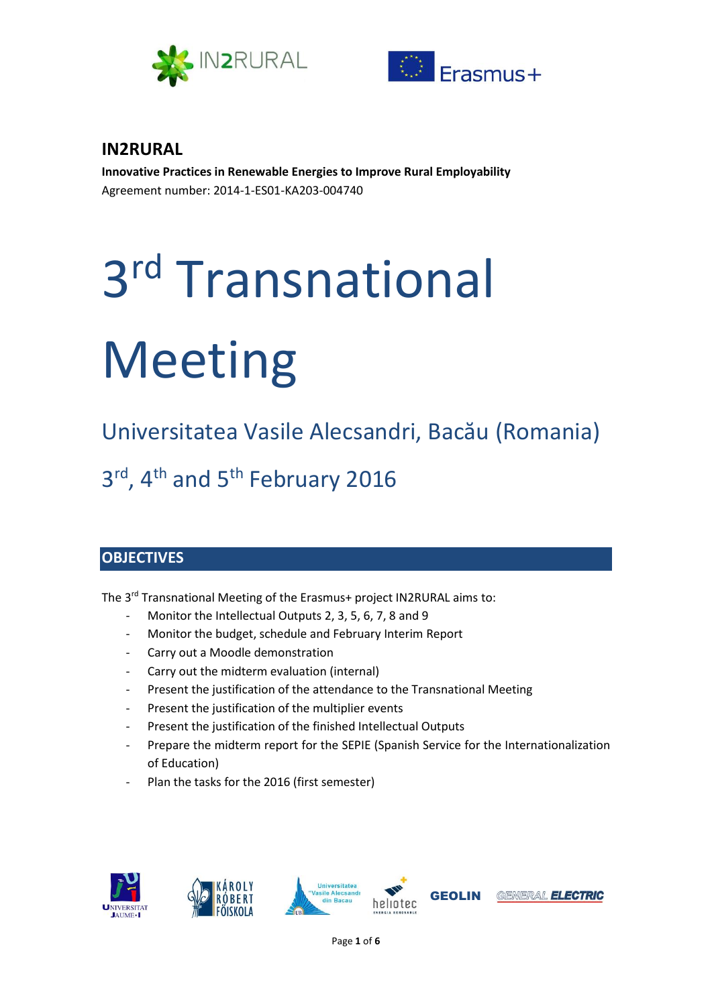



# **IN2RURAL**

**Innovative Practices in Renewable Energies to Improve Rural Employability** Agreement number: 2014-1-ES01-KA203-004740

# 3 rd Transnational Meeting

Universitatea Vasile Alecsandri, Bacău (Romania) 3<sup>rd</sup>, 4<sup>th</sup> and 5<sup>th</sup> February 2016

# **OBJECTIVES**

The 3<sup>rd</sup> Transnational Meeting of the Erasmus+ project IN2RURAL aims to:

- Monitor the Intellectual Outputs 2, 3, 5, 6, 7, 8 and 9
- Monitor the budget, schedule and February Interim Report
- Carry out a Moodle demonstration
- Carry out the midterm evaluation (internal)
- Present the justification of the attendance to the Transnational Meeting
- Present the justification of the multiplier events
- Present the justification of the finished Intellectual Outputs
- Prepare the midterm report for the SEPIE (Spanish Service for the Internationalization of Education)
- Plan the tasks for the 2016 (first semester)

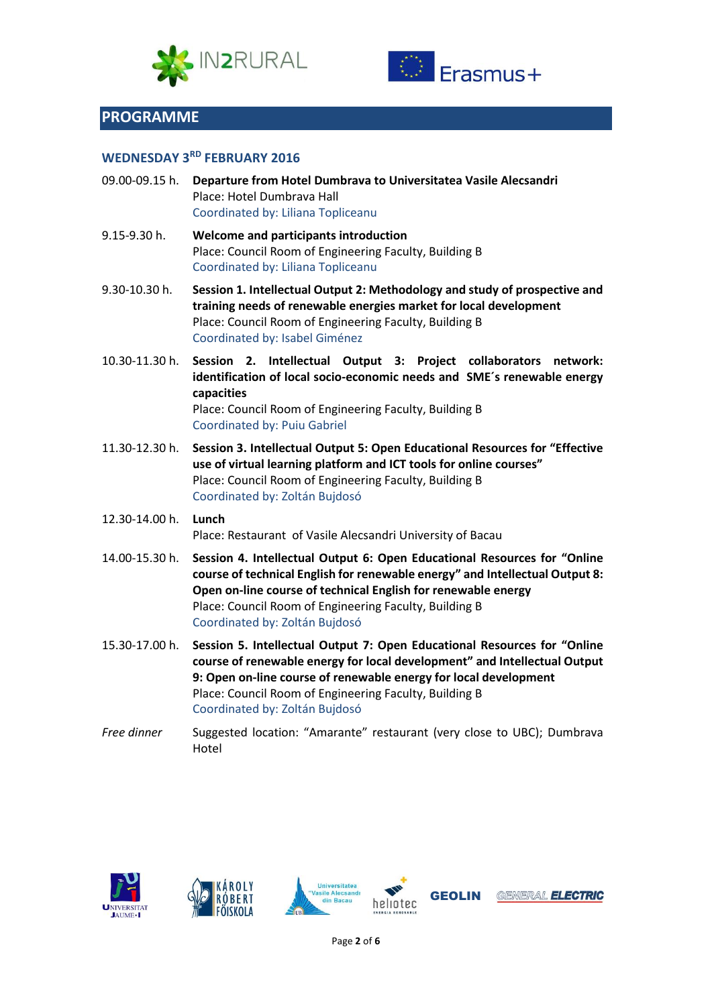



## **PROGRAMME**

#### **WEDNESDAY 3RD FEBRUARY 2016**

- 09.00-09.15 h. **Departure from Hotel Dumbrava to Universitatea Vasile Alecsandri** Place: Hotel Dumbrava Hall Coordinated by: Liliana Topliceanu
- 9.15-9.30 h. **Welcome and participants introduction** Place: Council Room of Engineering Faculty, Building B Coordinated by: Liliana Topliceanu
- 9.30-10.30 h. **Session 1. Intellectual Output 2: Methodology and study of prospective and training needs of renewable energies market for local development** Place: Council Room of Engineering Faculty, Building B Coordinated by: Isabel Giménez
- 10.30-11.30 h. **Session 2. Intellectual Output 3: Project collaborators network: identification of local socio-economic needs and SME´s renewable energy capacities** Place: Council Room of Engineering Faculty, Building B Coordinated by: Puiu Gabriel
- 11.30-12.30 h. **Session 3. Intellectual Output 5: Open Educational Resources for "Effective use of virtual learning platform and ICT tools for online courses"**  Place: Council Room of Engineering Faculty, Building B
- 12.30-14.00 h. **Lunch** Place: Restaurant of Vasile Alecsandri University of Bacau

Coordinated by: Zoltán Bujdosó

- 14.00-15.30 h. **Session 4. Intellectual Output 6: Open Educational Resources for "Online course of technical English for renewable energy" and Intellectual Output 8: Open on-line course of technical English for renewable energy** Place: Council Room of Engineering Faculty, Building B Coordinated by: Zoltán Bujdosó
- 15.30-17.00 h. **Session 5. Intellectual Output 7: Open Educational Resources for "Online course of renewable energy for local development" and Intellectual Output 9: Open on-line course of renewable energy for local development** Place: Council Room of Engineering Faculty, Building B Coordinated by: Zoltán Bujdosó
- *Free dinner* Suggested location: "Amarante" restaurant (very close to UBC); Dumbrava Hotel

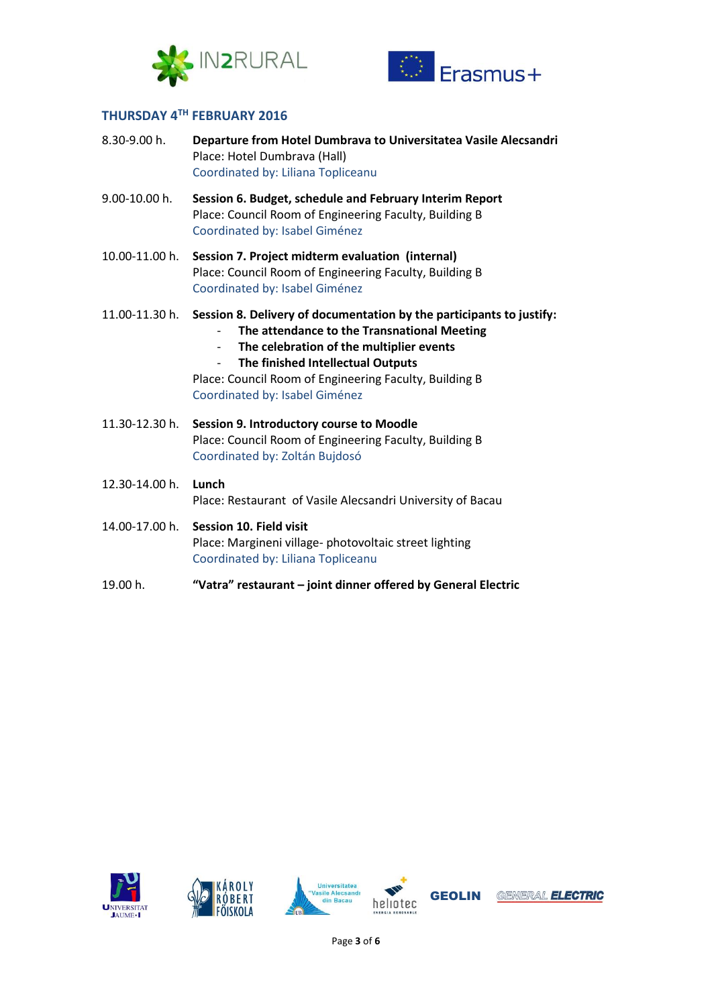



## **THURSDAY 4 TH FEBRUARY 2016**

| 8.30-9.00 h.   | Departure from Hotel Dumbrava to Universitatea Vasile Alecsandri<br>Place: Hotel Dumbrava (Hall)<br>Coordinated by: Liliana Topliceanu                                                                                                                                                                                                                   |
|----------------|----------------------------------------------------------------------------------------------------------------------------------------------------------------------------------------------------------------------------------------------------------------------------------------------------------------------------------------------------------|
| 9.00-10.00 h.  | Session 6. Budget, schedule and February Interim Report<br>Place: Council Room of Engineering Faculty, Building B<br>Coordinated by: Isabel Giménez                                                                                                                                                                                                      |
| 10.00-11.00 h. | Session 7. Project midterm evaluation (internal)<br>Place: Council Room of Engineering Faculty, Building B<br>Coordinated by: Isabel Giménez                                                                                                                                                                                                             |
| 11.00-11.30 h. | Session 8. Delivery of documentation by the participants to justify:<br>The attendance to the Transnational Meeting<br>The celebration of the multiplier events<br>$\overline{\phantom{a}}$<br>The finished Intellectual Outputs<br>$\overline{\phantom{0}}$<br>Place: Council Room of Engineering Faculty, Building B<br>Coordinated by: Isabel Giménez |
| 11.30-12.30 h. | Session 9. Introductory course to Moodle<br>Place: Council Room of Engineering Faculty, Building B<br>Coordinated by: Zoltán Bujdosó                                                                                                                                                                                                                     |
| 12.30-14.00 h. | Lunch<br>Place: Restaurant of Vasile Alecsandri University of Bacau                                                                                                                                                                                                                                                                                      |
| 14.00-17.00 h. | <b>Session 10. Field visit</b><br>Place: Margineni village- photovoltaic street lighting<br>Coordinated by: Liliana Topliceanu                                                                                                                                                                                                                           |

19.00 h. **"Vatra" restaurant – joint dinner offered by General Electric**

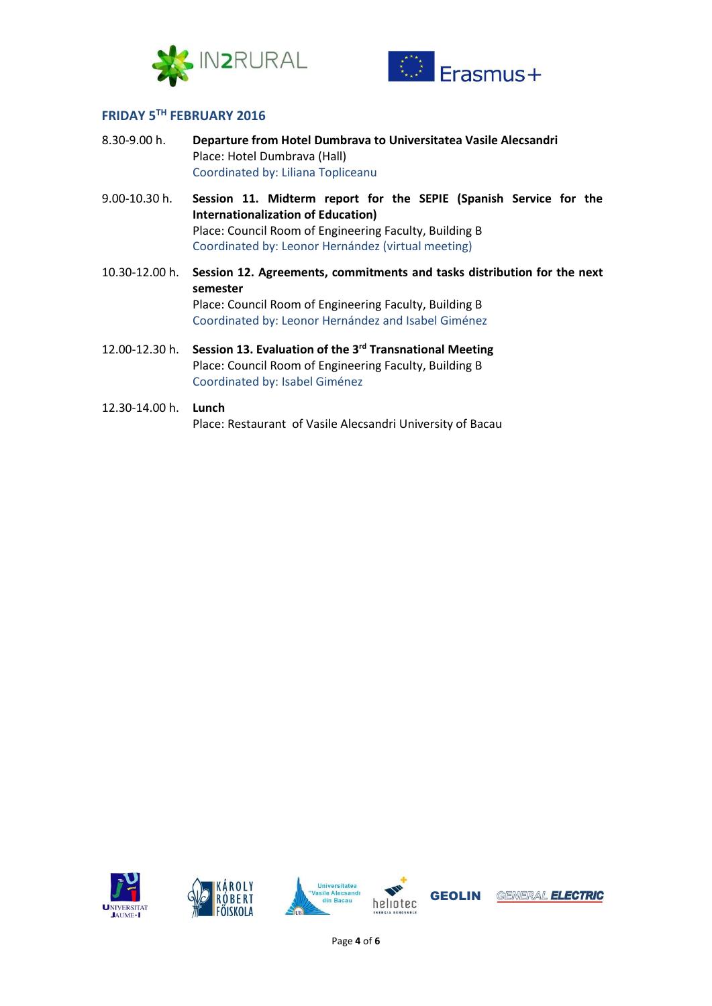



### **FRIDAY 5TH FEBRUARY 2016**

- 8.30-9.00 h. **Departure from Hotel Dumbrava to Universitatea Vasile Alecsandri** Place: Hotel Dumbrava (Hall) Coordinated by: Liliana Topliceanu
- 9.00-10.30 h. **Session 11. Midterm report for the SEPIE (Spanish Service for the Internationalization of Education)** Place: Council Room of Engineering Faculty, Building B Coordinated by: Leonor Hernández (virtual meeting)
- 10.30-12.00 h. **Session 12. Agreements, commitments and tasks distribution for the next semester** Place: Council Room of Engineering Faculty, Building B Coordinated by: Leonor Hernández and Isabel Giménez
- 12.00-12.30 h. **Session 13. Evaluation of the 3rd Transnational Meeting** Place: Council Room of Engineering Faculty, Building B Coordinated by: Isabel Giménez

#### 12.30-14.00 h. **Lunch**

Place: Restaurant of Vasile Alecsandri University of Bacau

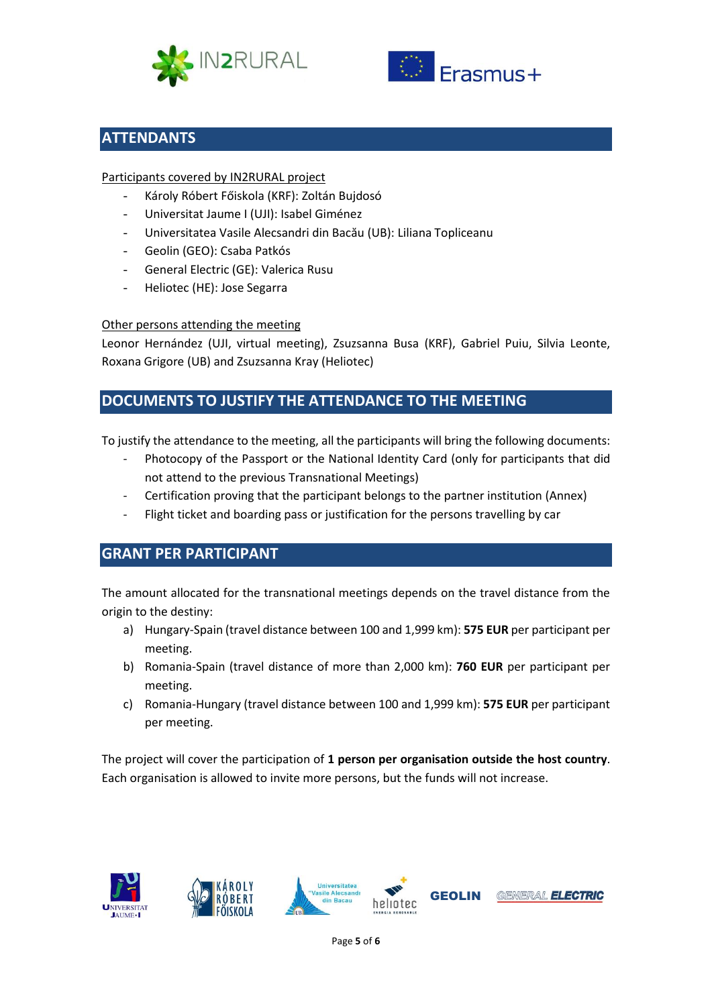



# **ATTENDANTS**

#### Participants covered by IN2RURAL project

- Károly Róbert Főiskola (KRF): Zoltán Bujdosó
- Universitat Jaume I (UJI): Isabel Giménez
- Universitatea Vasile Alecsandri din Bacău (UB): Liliana Topliceanu
- Geolin (GEO): Csaba Patkós
- General Electric (GE): Valerica Rusu
- Heliotec (HE): Jose Segarra

#### Other persons attending the meeting

Leonor Hernández (UJI, virtual meeting), Zsuzsanna Busa (KRF), Gabriel Puiu, Silvia Leonte, Roxana Grigore (UB) and Zsuzsanna Kray (Heliotec)

# **DOCUMENTS TO JUSTIFY THE ATTENDANCE TO THE MEETING**

To justify the attendance to the meeting, all the participants will bring the following documents:

- Photocopy of the Passport or the National Identity Card (only for participants that did not attend to the previous Transnational Meetings)
- Certification proving that the participant belongs to the partner institution (Annex)
- Flight ticket and boarding pass or justification for the persons travelling by car

# **GRANT PER PARTICIPANT**

The amount allocated for the transnational meetings depends on the travel distance from the origin to the destiny:

- a) Hungary-Spain (travel distance between 100 and 1,999 km): **575 EUR** per participant per meeting.
- b) Romania-Spain (travel distance of more than 2,000 km): **760 EUR** per participant per meeting.
- c) Romania-Hungary (travel distance between 100 and 1,999 km): **575 EUR** per participant per meeting.

The project will cover the participation of **1 person per organisation outside the host country**. Each organisation is allowed to invite more persons, but the funds will not increase.